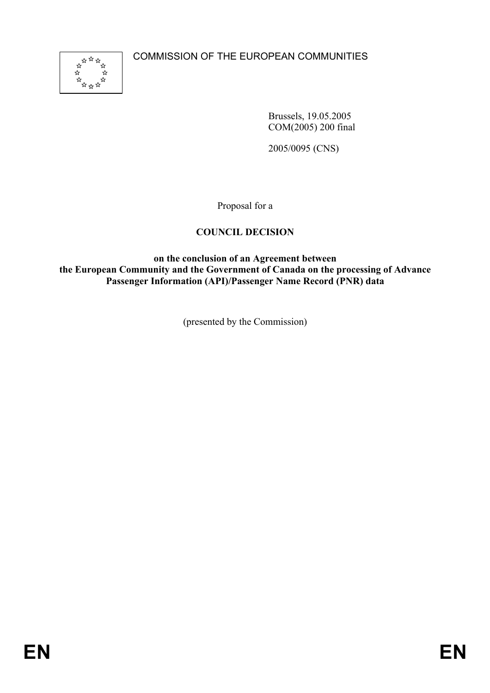COMMISSION OF THE EUROPEAN COMMUNITIES



Brussels, 19.05.2005 COM(2005) 200 final

2005/0095 (CNS)

Proposal for a

# **COUNCIL DECISION**

**on the conclusion of an Agreement between the European Community and the Government of Canada on the processing of Advance Passenger Information (API)/Passenger Name Record (PNR) data** 

(presented by the Commission)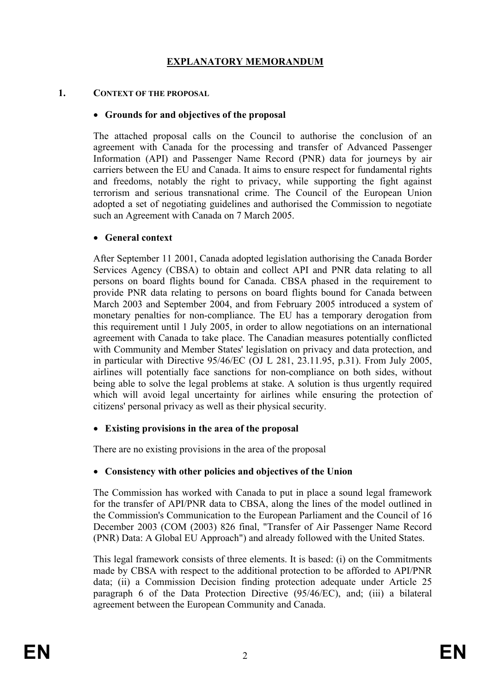# **EXPLANATORY MEMORANDUM**

#### **1. CONTEXT OF THE PROPOSAL**

### • **Grounds for and objectives of the proposal**

The attached proposal calls on the Council to authorise the conclusion of an agreement with Canada for the processing and transfer of Advanced Passenger Information (API) and Passenger Name Record (PNR) data for journeys by air carriers between the EU and Canada. It aims to ensure respect for fundamental rights and freedoms, notably the right to privacy, while supporting the fight against terrorism and serious transnational crime. The Council of the European Union adopted a set of negotiating guidelines and authorised the Commission to negotiate such an Agreement with Canada on 7 March 2005.

### • **General context**

After September 11 2001, Canada adopted legislation authorising the Canada Border Services Agency (CBSA) to obtain and collect API and PNR data relating to all persons on board flights bound for Canada. CBSA phased in the requirement to provide PNR data relating to persons on board flights bound for Canada between March 2003 and September 2004, and from February 2005 introduced a system of monetary penalties for non-compliance. The EU has a temporary derogation from this requirement until 1 July 2005, in order to allow negotiations on an international agreement with Canada to take place. The Canadian measures potentially conflicted with Community and Member States' legislation on privacy and data protection, and in particular with Directive 95/46/EC (OJ L 281, 23.11.95, p.31). From July 2005, airlines will potentially face sanctions for non-compliance on both sides, without being able to solve the legal problems at stake. A solution is thus urgently required which will avoid legal uncertainty for airlines while ensuring the protection of citizens' personal privacy as well as their physical security.

## • **Existing provisions in the area of the proposal**

There are no existing provisions in the area of the proposal

## • **Consistency with other policies and objectives of the Union**

The Commission has worked with Canada to put in place a sound legal framework for the transfer of API/PNR data to CBSA, along the lines of the model outlined in the Commission's Communication to the European Parliament and the Council of 16 December 2003 (COM (2003) 826 final, "Transfer of Air Passenger Name Record (PNR) Data: A Global EU Approach") and already followed with the United States.

This legal framework consists of three elements. It is based: (i) on the Commitments made by CBSA with respect to the additional protection to be afforded to API/PNR data; (ii) a Commission Decision finding protection adequate under Article 25 paragraph 6 of the Data Protection Directive (95/46/EC), and; (iii) a bilateral agreement between the European Community and Canada.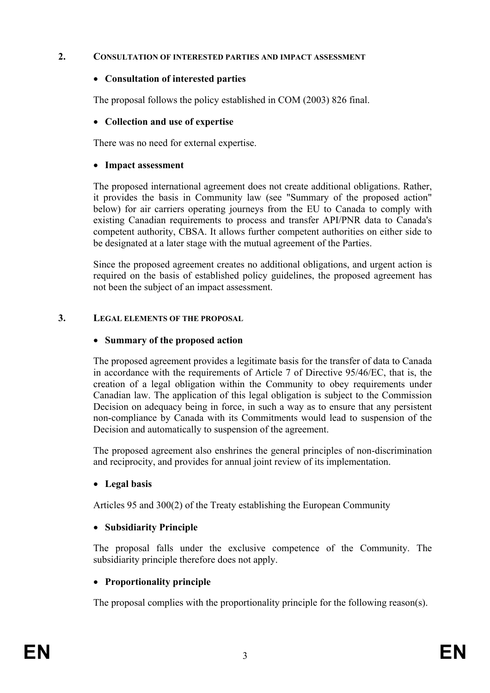#### **2. CONSULTATION OF INTERESTED PARTIES AND IMPACT ASSESSMENT**

#### • **Consultation of interested parties**

The proposal follows the policy established in COM (2003) 826 final.

### • **Collection and use of expertise**

There was no need for external expertise.

### • **Impact assessment**

The proposed international agreement does not create additional obligations. Rather, it provides the basis in Community law (see "Summary of the proposed action" below) for air carriers operating journeys from the EU to Canada to comply with existing Canadian requirements to process and transfer API/PNR data to Canada's competent authority, CBSA. It allows further competent authorities on either side to be designated at a later stage with the mutual agreement of the Parties.

Since the proposed agreement creates no additional obligations, and urgent action is required on the basis of established policy guidelines, the proposed agreement has not been the subject of an impact assessment.

#### **3. LEGAL ELEMENTS OF THE PROPOSAL**

### • **Summary of the proposed action**

The proposed agreement provides a legitimate basis for the transfer of data to Canada in accordance with the requirements of Article 7 of Directive 95/46/EC, that is, the creation of a legal obligation within the Community to obey requirements under Canadian law. The application of this legal obligation is subject to the Commission Decision on adequacy being in force, in such a way as to ensure that any persistent non-compliance by Canada with its Commitments would lead to suspension of the Decision and automatically to suspension of the agreement.

The proposed agreement also enshrines the general principles of non-discrimination and reciprocity, and provides for annual joint review of its implementation.

## • **Legal basis**

Articles 95 and 300(2) of the Treaty establishing the European Community

## • **Subsidiarity Principle**

The proposal falls under the exclusive competence of the Community. The subsidiarity principle therefore does not apply.

## • **Proportionality principle**

The proposal complies with the proportionality principle for the following reason(s).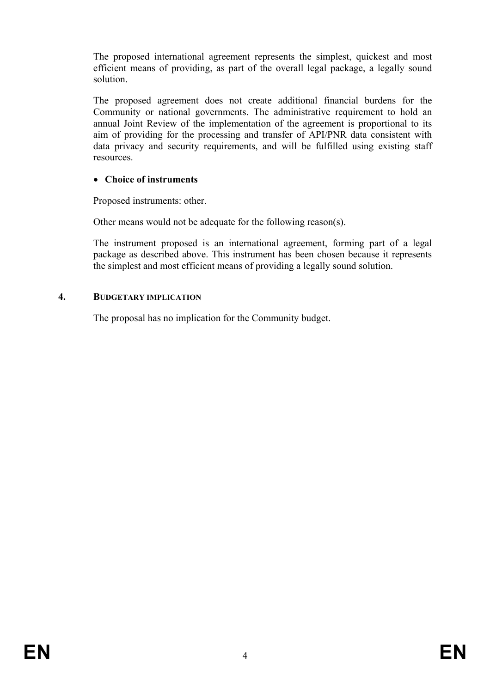The proposed international agreement represents the simplest, quickest and most efficient means of providing, as part of the overall legal package, a legally sound solution.

The proposed agreement does not create additional financial burdens for the Community or national governments. The administrative requirement to hold an annual Joint Review of the implementation of the agreement is proportional to its aim of providing for the processing and transfer of API/PNR data consistent with data privacy and security requirements, and will be fulfilled using existing staff resources.

# • **Choice of instruments**

Proposed instruments: other.

Other means would not be adequate for the following reason(s).

The instrument proposed is an international agreement, forming part of a legal package as described above. This instrument has been chosen because it represents the simplest and most efficient means of providing a legally sound solution.

# **4. BUDGETARY IMPLICATION**

The proposal has no implication for the Community budget.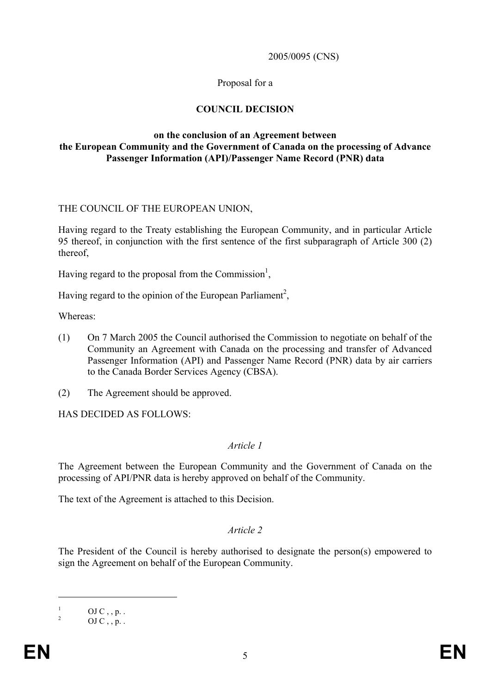#### 2005/0095 (CNS)

#### Proposal for a

### **COUNCIL DECISION**

#### **on the conclusion of an Agreement between the European Community and the Government of Canada on the processing of Advance Passenger Information (API)/Passenger Name Record (PNR) data**

#### THE COUNCIL OF THE EUROPEAN UNION,

Having regard to the Treaty establishing the European Community, and in particular Article 95 thereof, in conjunction with the first sentence of the first subparagraph of Article 300 (2) thereof,

Having regard to the proposal from the Commission<sup>1</sup>,

Having regard to the opinion of the European Parliament<sup>2</sup>,

Whereas:

- (1) On 7 March 2005 the Council authorised the Commission to negotiate on behalf of the Community an Agreement with Canada on the processing and transfer of Advanced Passenger Information (API) and Passenger Name Record (PNR) data by air carriers to the Canada Border Services Agency (CBSA).
- (2) The Agreement should be approved.

HAS DECIDED AS FOLLOWS:

#### *Article 1*

The Agreement between the European Community and the Government of Canada on the processing of API/PNR data is hereby approved on behalf of the Community.

The text of the Agreement is attached to this Decision.

#### *Article 2*

The President of the Council is hereby authorised to designate the person(s) empowered to sign the Agreement on behalf of the European Community.

1 1

OJ  $C$ , , p. .

<sup>2</sup>  $OJ C$ , p.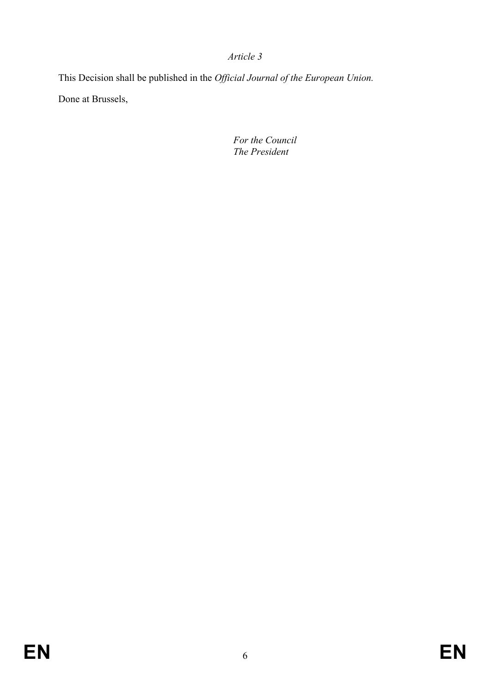This Decision shall be published in the *Official Journal of the European Union.* Done at Brussels,

> *For the Council The President*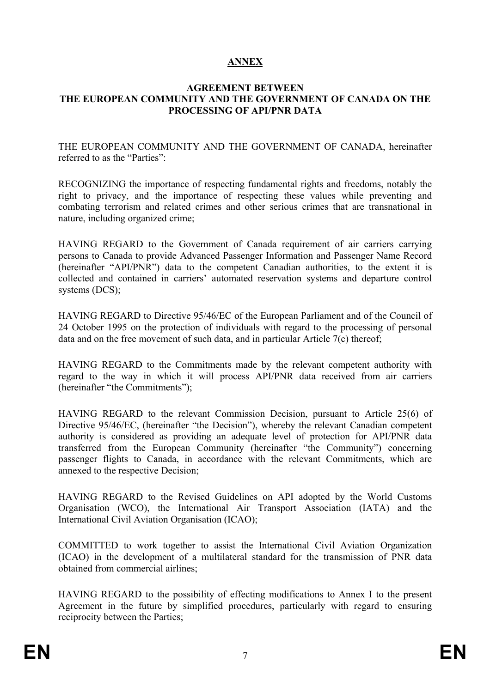# **ANNEX**

#### **AGREEMENT BETWEEN THE EUROPEAN COMMUNITY AND THE GOVERNMENT OF CANADA ON THE PROCESSING OF API/PNR DATA**

THE EUROPEAN COMMUNITY AND THE GOVERNMENT OF CANADA, hereinafter referred to as the "Parties":

RECOGNIZING the importance of respecting fundamental rights and freedoms, notably the right to privacy, and the importance of respecting these values while preventing and combating terrorism and related crimes and other serious crimes that are transnational in nature, including organized crime;

HAVING REGARD to the Government of Canada requirement of air carriers carrying persons to Canada to provide Advanced Passenger Information and Passenger Name Record (hereinafter "API/PNR") data to the competent Canadian authorities, to the extent it is collected and contained in carriers' automated reservation systems and departure control systems (DCS);

HAVING REGARD to Directive 95/46/EC of the European Parliament and of the Council of 24 October 1995 on the protection of individuals with regard to the processing of personal data and on the free movement of such data, and in particular Article 7(c) thereof;

HAVING REGARD to the Commitments made by the relevant competent authority with regard to the way in which it will process API/PNR data received from air carriers (hereinafter "the Commitments");

HAVING REGARD to the relevant Commission Decision, pursuant to Article 25(6) of Directive 95/46/EC, (hereinafter "the Decision"), whereby the relevant Canadian competent authority is considered as providing an adequate level of protection for API/PNR data transferred from the European Community (hereinafter "the Community") concerning passenger flights to Canada, in accordance with the relevant Commitments, which are annexed to the respective Decision;

HAVING REGARD to the Revised Guidelines on API adopted by the World Customs Organisation (WCO), the International Air Transport Association (IATA) and the International Civil Aviation Organisation (ICAO);

COMMITTED to work together to assist the International Civil Aviation Organization (ICAO) in the development of a multilateral standard for the transmission of PNR data obtained from commercial airlines;

HAVING REGARD to the possibility of effecting modifications to Annex I to the present Agreement in the future by simplified procedures, particularly with regard to ensuring reciprocity between the Parties;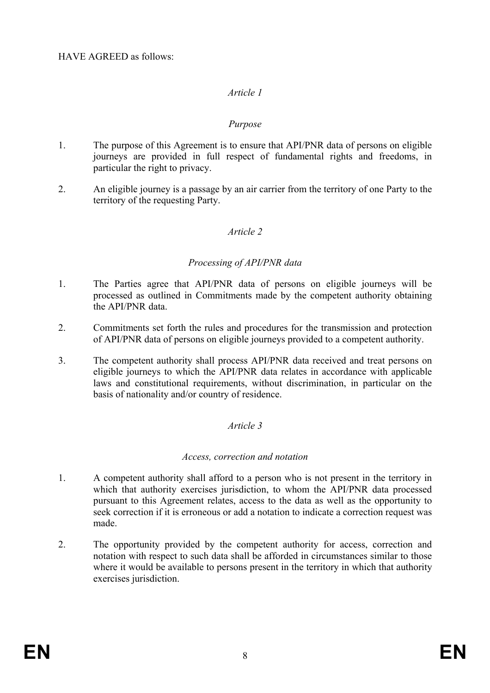#### *Purpose*

- 1. The purpose of this Agreement is to ensure that API/PNR data of persons on eligible journeys are provided in full respect of fundamental rights and freedoms, in particular the right to privacy.
- 2. An eligible journey is a passage by an air carrier from the territory of one Party to the territory of the requesting Party.

### *Article 2*

### *Processing of API/PNR data*

- 1. The Parties agree that API/PNR data of persons on eligible journeys will be processed as outlined in Commitments made by the competent authority obtaining the API/PNR data.
- 2. Commitments set forth the rules and procedures for the transmission and protection of API/PNR data of persons on eligible journeys provided to a competent authority.
- 3. The competent authority shall process API/PNR data received and treat persons on eligible journeys to which the API/PNR data relates in accordance with applicable laws and constitutional requirements, without discrimination, in particular on the basis of nationality and/or country of residence.

#### *Article 3*

#### *Access, correction and notation*

- 1. A competent authority shall afford to a person who is not present in the territory in which that authority exercises jurisdiction, to whom the API/PNR data processed pursuant to this Agreement relates, access to the data as well as the opportunity to seek correction if it is erroneous or add a notation to indicate a correction request was made.
- 2. The opportunity provided by the competent authority for access, correction and notation with respect to such data shall be afforded in circumstances similar to those where it would be available to persons present in the territory in which that authority exercises jurisdiction.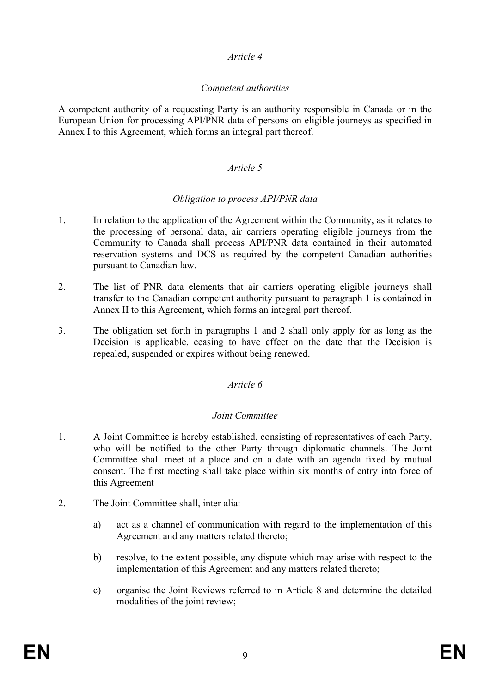## *Competent authorities*

A competent authority of a requesting Party is an authority responsible in Canada or in the European Union for processing API/PNR data of persons on eligible journeys as specified in Annex I to this Agreement, which forms an integral part thereof.

# *Article 5*

## *Obligation to process API/PNR data*

- 1. In relation to the application of the Agreement within the Community, as it relates to the processing of personal data, air carriers operating eligible journeys from the Community to Canada shall process API/PNR data contained in their automated reservation systems and DCS as required by the competent Canadian authorities pursuant to Canadian law.
- 2. The list of PNR data elements that air carriers operating eligible journeys shall transfer to the Canadian competent authority pursuant to paragraph 1 is contained in Annex II to this Agreement, which forms an integral part thereof.
- 3. The obligation set forth in paragraphs 1 and 2 shall only apply for as long as the Decision is applicable, ceasing to have effect on the date that the Decision is repealed, suspended or expires without being renewed.

## *Article 6*

## *Joint Committee*

- 1. A Joint Committee is hereby established, consisting of representatives of each Party, who will be notified to the other Party through diplomatic channels. The Joint Committee shall meet at a place and on a date with an agenda fixed by mutual consent. The first meeting shall take place within six months of entry into force of this Agreement
- 2. The Joint Committee shall, inter alia:
	- a) act as a channel of communication with regard to the implementation of this Agreement and any matters related thereto;
	- b) resolve, to the extent possible, any dispute which may arise with respect to the implementation of this Agreement and any matters related thereto;
	- c) organise the Joint Reviews referred to in Article 8 and determine the detailed modalities of the joint review;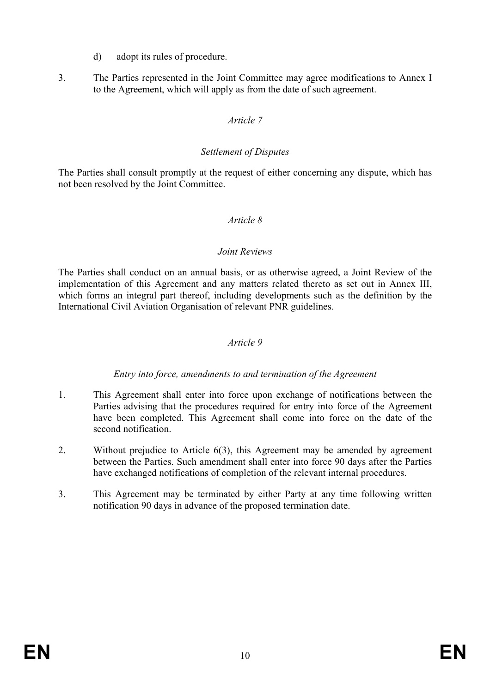- d) adopt its rules of procedure.
- 3. The Parties represented in the Joint Committee may agree modifications to Annex I to the Agreement, which will apply as from the date of such agreement.

#### *Settlement of Disputes*

The Parties shall consult promptly at the request of either concerning any dispute, which has not been resolved by the Joint Committee.

#### *Article 8*

#### *Joint Reviews*

The Parties shall conduct on an annual basis, or as otherwise agreed, a Joint Review of the implementation of this Agreement and any matters related thereto as set out in Annex III, which forms an integral part thereof, including developments such as the definition by the International Civil Aviation Organisation of relevant PNR guidelines.

### *Article 9*

## *Entry into force, amendments to and termination of the Agreement*

- 1. This Agreement shall enter into force upon exchange of notifications between the Parties advising that the procedures required for entry into force of the Agreement have been completed. This Agreement shall come into force on the date of the second notification.
- 2. Without prejudice to Article 6(3), this Agreement may be amended by agreement between the Parties. Such amendment shall enter into force 90 days after the Parties have exchanged notifications of completion of the relevant internal procedures.
- 3. This Agreement may be terminated by either Party at any time following written notification 90 days in advance of the proposed termination date.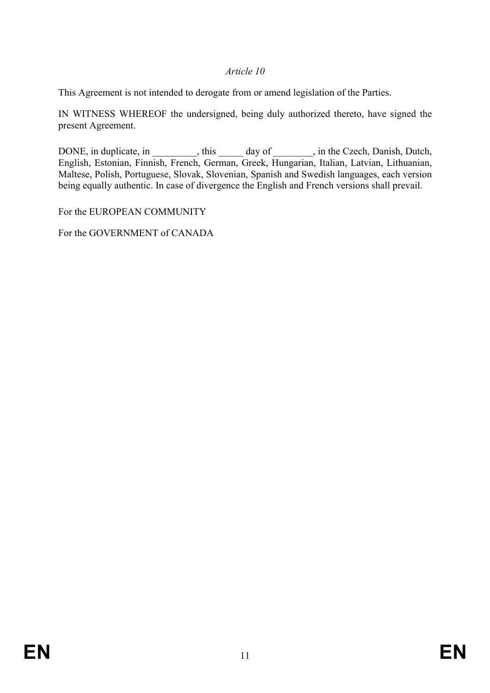This Agreement is not intended to derogate from or amend legislation of the Parties.

IN WITNESS WHEREOF the undersigned, being duly authorized thereto, have signed the present Agreement.

DONE, in duplicate, in example in the Czech, Danish, Dutch, Done is a general set of the Czech, Danish, Dutch, English, Estonian, Finnish, French, German, Greek, Hungarian, Italian, Latvian, Lithuanian, Maltese, Polish, Portuguese, Slovak, Slovenian, Spanish and Swedish languages, each version being equally authentic. In case of divergence the English and French versions shall prevail.

For the EUROPEAN COMMUNITY

For the GOVERNMENT of CANADA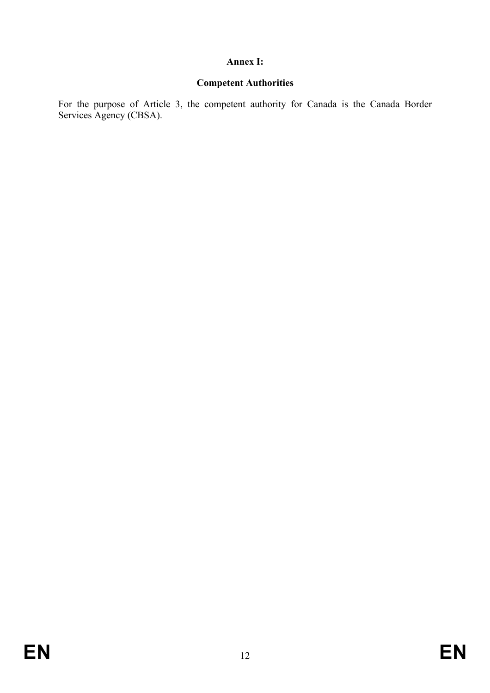### **Annex I:**

# **Competent Authorities**

For the purpose of Article 3, the competent authority for Canada is the Canada Border Services Agency (CBSA).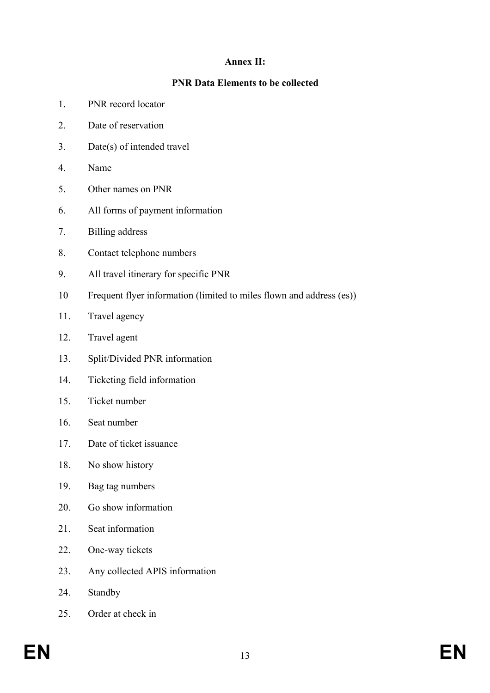# **Annex II:**

# **PNR Data Elements to be collected**

- 1. PNR record locator
- 2. Date of reservation
- 3. Date(s) of intended travel
- 4. Name
- 5. Other names on PNR
- 6. All forms of payment information
- 7. Billing address
- 8. Contact telephone numbers
- 9. All travel itinerary for specific PNR
- 10 Frequent flyer information (limited to miles flown and address (es))
- 11. Travel agency
- 12. Travel agent
- 13. Split/Divided PNR information
- 14. Ticketing field information
- 15. Ticket number
- 16. Seat number
- 17. Date of ticket issuance
- 18. No show history
- 19. Bag tag numbers
- 20. Go show information
- 21. Seat information
- 22. One-way tickets
- 23. Any collected APIS information
- 24. Standby
- 25. Order at check in